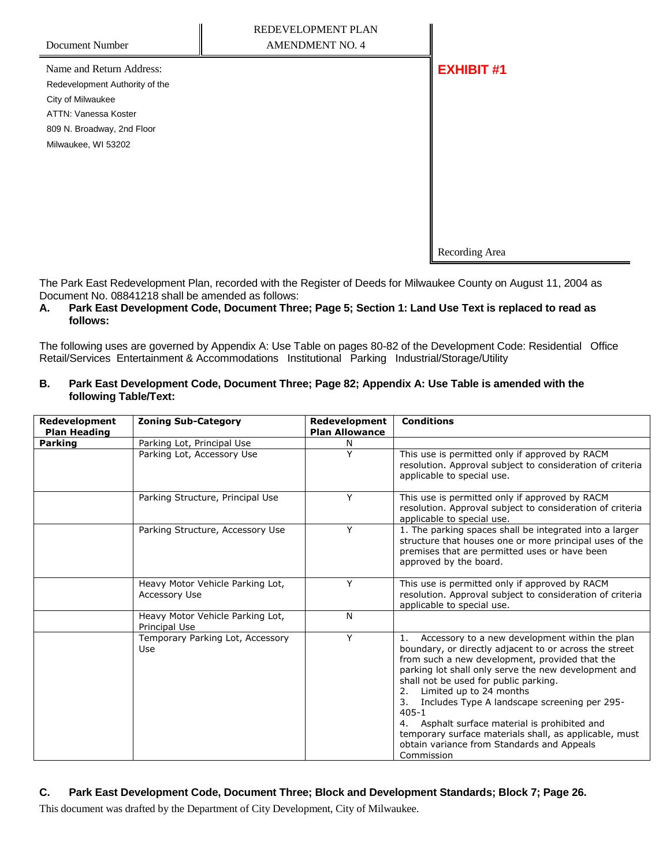| Document Number                | NEDEVELOFIJEN I FLAN<br><b>AMENDMENT NO. 4</b>                                                |                   |
|--------------------------------|-----------------------------------------------------------------------------------------------|-------------------|
| Name and Return Address:       |                                                                                               | <b>EXHIBIT #1</b> |
| Redevelopment Authority of the |                                                                                               |                   |
| City of Milwaukee              |                                                                                               |                   |
| ATTN: Vanessa Koster           |                                                                                               |                   |
| 809 N. Broadway, 2nd Floor     |                                                                                               |                   |
| Milwaukee, WI 53202            |                                                                                               |                   |
|                                |                                                                                               |                   |
|                                |                                                                                               |                   |
|                                |                                                                                               |                   |
|                                |                                                                                               |                   |
|                                |                                                                                               |                   |
|                                |                                                                                               | Recording Area    |
|                                | The Park East Redevelopment Plan, recorded with the Register of Deeds for Milwaukee County on |                   |

 $\mathbf{u}$ 

on August 11, 2004 as Document No. 08841218 shall be amended as follows:

REDEVELOPMENT PLAN

 $\mathbf{u}$ 

## **A. Park East Development Code, Document Three; Page 5; Section 1: Land Use Text is replaced to read as follows:**

The following uses are governed by Appendix A: Use Table on pages 80-82 of the Development Code: Residential Office Retail/Services Entertainment & Accommodations Institutional Parking Industrial/Storage/Utility

## **B. Park East Development Code, Document Three; Page 82; Appendix A: Use Table is amended with the following Table/Text:**

| Redevelopment<br><b>Plan Heading</b> | <b>Zoning Sub-Category</b>                        | Redevelopment<br><b>Plan Allowance</b> | <b>Conditions</b>                                                                                                                                                                                                                                                                                                                                                                                                                                                                                                                            |
|--------------------------------------|---------------------------------------------------|----------------------------------------|----------------------------------------------------------------------------------------------------------------------------------------------------------------------------------------------------------------------------------------------------------------------------------------------------------------------------------------------------------------------------------------------------------------------------------------------------------------------------------------------------------------------------------------------|
| <b>Parking</b>                       | Parking Lot, Principal Use                        | Ν                                      |                                                                                                                                                                                                                                                                                                                                                                                                                                                                                                                                              |
|                                      | Parking Lot, Accessory Use                        | Υ                                      | This use is permitted only if approved by RACM<br>resolution. Approval subject to consideration of criteria<br>applicable to special use.                                                                                                                                                                                                                                                                                                                                                                                                    |
|                                      | Parking Structure, Principal Use                  | Y                                      | This use is permitted only if approved by RACM<br>resolution. Approval subject to consideration of criteria<br>applicable to special use.                                                                                                                                                                                                                                                                                                                                                                                                    |
|                                      | Parking Structure, Accessory Use                  | Y                                      | 1. The parking spaces shall be integrated into a larger<br>structure that houses one or more principal uses of the<br>premises that are permitted uses or have been<br>approved by the board.                                                                                                                                                                                                                                                                                                                                                |
|                                      | Heavy Motor Vehicle Parking Lot,<br>Accessory Use | Y                                      | This use is permitted only if approved by RACM<br>resolution. Approval subject to consideration of criteria<br>applicable to special use.                                                                                                                                                                                                                                                                                                                                                                                                    |
|                                      | Heavy Motor Vehicle Parking Lot,<br>Principal Use | N                                      |                                                                                                                                                                                                                                                                                                                                                                                                                                                                                                                                              |
|                                      | Temporary Parking Lot, Accessory<br>Use           | Y                                      | Accessory to a new development within the plan<br>1.<br>boundary, or directly adjacent to or across the street<br>from such a new development, provided that the<br>parking lot shall only serve the new development and<br>shall not be used for public parking.<br>Limited up to 24 months<br>2.<br>Includes Type A landscape screening per 295-<br>3.<br>$405 - 1$<br>4. Asphalt surface material is prohibited and<br>temporary surface materials shall, as applicable, must<br>obtain variance from Standards and Appeals<br>Commission |

## **C. Park East Development Code, Document Three; Block and Development Standards; Block 7; Page 26.**

This document was drafted by the Department of City Development, City of Milwaukee.